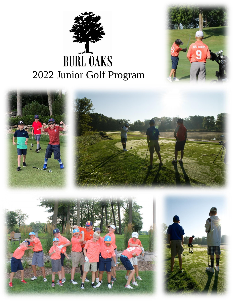# BURL OAKS<br>2022 Junior Golf Program



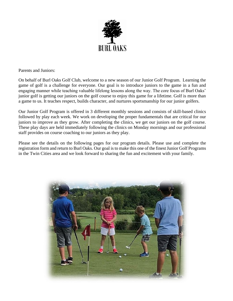

Parents and Juniors:

On behalf of Burl Oaks Golf Club, welcome to a new season of our Junior Golf Program. Learning the game of golf is a challenge for everyone. Our goal is to introduce juniors to the game in a fun and engaging manner while teaching valuable lifelong lessons along the way. The core focus of Burl Oaks' junior golf is getting our juniors on the golf course to enjoy this game for a lifetime. Golf is more than a game to us. It teaches respect, builds character, and nurtures sportsmanship for our junior golfers.

Our Junior Golf Program is offered in 3 different monthly sessions and consists of skill-based clinics followed by play each week. We work on developing the proper fundamentals that are critical for our juniors to improve as they grow. After completing the clinics, we get our juniors on the golf course. These play days are held immediately following the clinics on Monday mornings and our professional staff provides on course coaching to our juniors as they play.

Please see the details on the following pages for our program details. Please use and complete the registration form and return to Burl Oaks. Our goal is to make this one of the finest Junior Golf Programs in the Twin Cities area and we look forward to sharing the fun and excitement with your family.

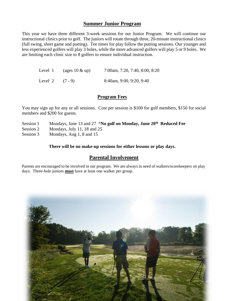# **Summer Junior Program**

This year we have three different 3-week sessions for our Junior Program. We will continue our instructional clinics prior to golf. The juniors will rotate through three, 20-minute instructional clinics (full swing, short game and putting). Tee times for play follow the putting sessions. Our younger and less experienced golfers will play 3 holes, while the more advanced golfers will play 5 or 9 holes. We are limiting each clinic size to 8 golfers to ensure individual instruction.

| Level 1 | (ages $10 \& \text{up}$ ) | 7:00am, 7:20, 7:40, 8:00, 8:20 |
|---------|---------------------------|--------------------------------|
| Level 2 | $(7 - 9)$                 | 8:40am, 9:00, 9:20, 9:40       |

### **Program Fees**

You may sign up for any or all sessions. Cost per session is \$100 for golf members, \$150 for social members and \$200 for guests.

- Session 1 Mondays, June 13 and 27  $*$ **No golf on Monday, June 20<sup>th</sup> Reduced Fee**
- Session 2 Mondays, July 11, 18 and 25

Session 3 Mondays, Aug 1, 8 and 15

**There will be no make-up sessions for either lessons or play days.**

# **Parental Involvement**

Parents are encouraged to be involved in our program. We are always in need of walkers/scorekeepers on play days. Three-hole juniors **must** have at least one walker per group.